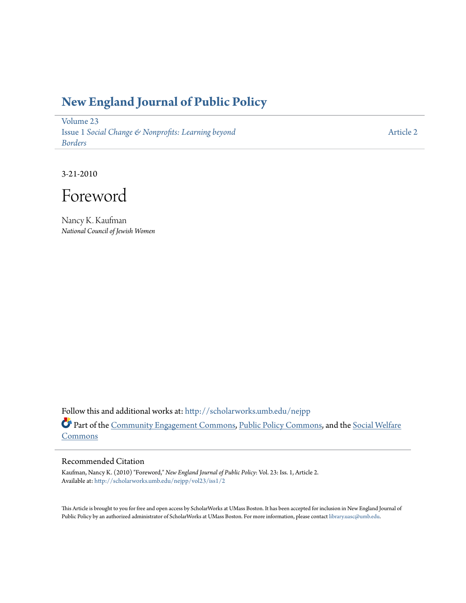## **[New England Journal of Public Policy](http://scholarworks.umb.edu/nejpp?utm_source=scholarworks.umb.edu%2Fnejpp%2Fvol23%2Fiss1%2F2&utm_medium=PDF&utm_campaign=PDFCoverPages)**

[Volume 23](http://scholarworks.umb.edu/nejpp/vol23?utm_source=scholarworks.umb.edu%2Fnejpp%2Fvol23%2Fiss1%2F2&utm_medium=PDF&utm_campaign=PDFCoverPages) Issue 1 *[Social Change & Nonprofits: Learning beyond](http://scholarworks.umb.edu/nejpp/vol23/iss1?utm_source=scholarworks.umb.edu%2Fnejpp%2Fvol23%2Fiss1%2F2&utm_medium=PDF&utm_campaign=PDFCoverPages) [Borders](http://scholarworks.umb.edu/nejpp/vol23/iss1?utm_source=scholarworks.umb.edu%2Fnejpp%2Fvol23%2Fiss1%2F2&utm_medium=PDF&utm_campaign=PDFCoverPages)*

[Article 2](http://scholarworks.umb.edu/nejpp/vol23/iss1/2?utm_source=scholarworks.umb.edu%2Fnejpp%2Fvol23%2Fiss1%2F2&utm_medium=PDF&utm_campaign=PDFCoverPages)

3-21-2010

Foreword

Nancy K. Kaufman *National Council of Jewish Women*

Follow this and additional works at: [http://scholarworks.umb.edu/nejpp](http://scholarworks.umb.edu/nejpp?utm_source=scholarworks.umb.edu%2Fnejpp%2Fvol23%2Fiss1%2F2&utm_medium=PDF&utm_campaign=PDFCoverPages) Part of the [Community Engagement Commons](http://network.bepress.com/hgg/discipline/1028?utm_source=scholarworks.umb.edu%2Fnejpp%2Fvol23%2Fiss1%2F2&utm_medium=PDF&utm_campaign=PDFCoverPages), [Public Policy Commons](http://network.bepress.com/hgg/discipline/400?utm_source=scholarworks.umb.edu%2Fnejpp%2Fvol23%2Fiss1%2F2&utm_medium=PDF&utm_campaign=PDFCoverPages), and the [Social Welfare](http://network.bepress.com/hgg/discipline/401?utm_source=scholarworks.umb.edu%2Fnejpp%2Fvol23%2Fiss1%2F2&utm_medium=PDF&utm_campaign=PDFCoverPages) **[Commons](http://network.bepress.com/hgg/discipline/401?utm_source=scholarworks.umb.edu%2Fnejpp%2Fvol23%2Fiss1%2F2&utm_medium=PDF&utm_campaign=PDFCoverPages)** 

## Recommended Citation

Kaufman, Nancy K. (2010) "Foreword," *New England Journal of Public Policy*: Vol. 23: Iss. 1, Article 2. Available at: [http://scholarworks.umb.edu/nejpp/vol23/iss1/2](http://scholarworks.umb.edu/nejpp/vol23/iss1/2?utm_source=scholarworks.umb.edu%2Fnejpp%2Fvol23%2Fiss1%2F2&utm_medium=PDF&utm_campaign=PDFCoverPages)

This Article is brought to you for free and open access by ScholarWorks at UMass Boston. It has been accepted for inclusion in New England Journal of Public Policy by an authorized administrator of ScholarWorks at UMass Boston. For more information, please contact [library.uasc@umb.edu](mailto:library.uasc@umb.edu).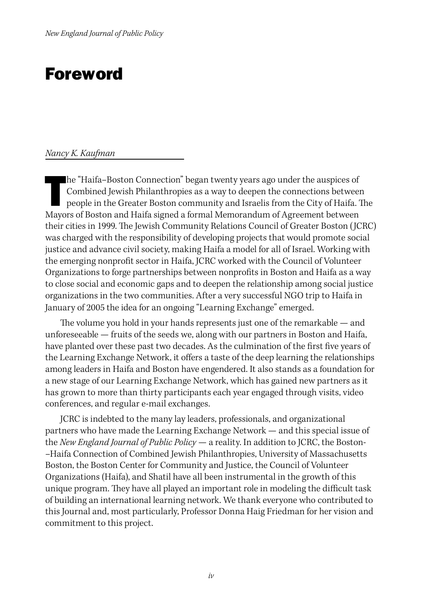## Foreword

## *Nancy K. Kaufman*

he "Haifa-Boston Connection" began twenty years ago under the auspices of Combined Jewish Philanthropies as a way to deepen the connections between people in the Greater Boston community and Israelis from the City of Haifa he "Haifa–Boston Connection" began twenty years ago under the auspices of Combined Jewish Philanthropies as a way to deepen the connections between people in the Greater Boston community and Israelis from the City of Haifa. The their cities in 1999. The Jewish Community Relations Council of Greater Boston (JCRC) was charged with the responsibility of developing projects that would promote social justice and advance civil society, making Haifa a model for all of Israel. Working with the emerging nonprofit sector in Haifa, JCRC worked with the Council of Volunteer Organizations to forge partnerships between nonprofits in Boston and Haifa as a way to close social and economic gaps and to deepen the relationship among social justice organizations in the two communities. After a very successful NGO trip to Haifa in January of 2005 the idea for an ongoing "Learning Exchange" emerged.

The volume you hold in your hands represents just one of the remarkable — and unforeseeable — fruits of the seeds we, along with our partners in Boston and Haifa, have planted over these past two decades. As the culmination of the first five years of the Learning Exchange Network, it offers a taste of the deep learning the relationships among leaders in Haifa and Boston have engendered. It also stands as a foundation for a new stage of our Learning Exchange Network, which has gained new partners as it has grown to more than thirty participants each year engaged through visits, video conferences, and regular e-mail exchanges.

JCRC is indebted to the many lay leaders, professionals, and organizational partners who have made the Learning Exchange Network — and this special issue of the *New England Journal of Public Policy* — a reality. In addition to JCRC, the Boston- –Haifa Connection of Combined Jewish Philanthropies, University of Massachusetts Boston, the Boston Center for Community and Justice, the Council of Volunteer Organizations (Haifa), and Shatil have all been instrumental in the growth of this unique program. They have all played an important role in modeling the difficult task of building an international learning network. We thank everyone who contributed to this Journal and, most particularly, Professor Donna Haig Friedman for her vision and commitment to this project.